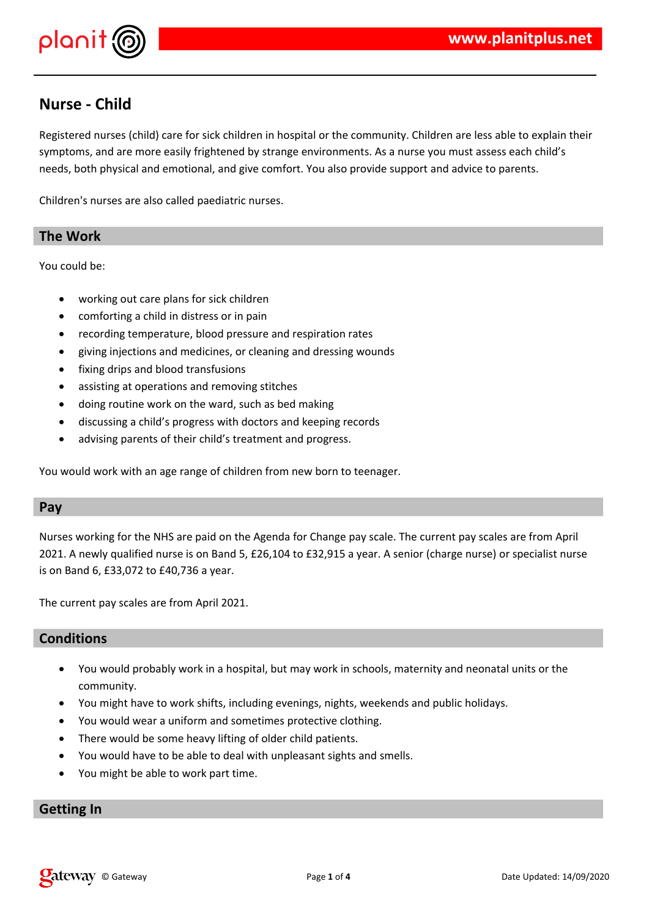

# **Nurse - Child**

Registered nurses (child) care for sick children in hospital or the community. Children are less able to explain their symptoms, and are more easily frightened by strange environments. As a nurse you must assess each child's needs, both physical and emotional, and give comfort. You also provide support and advice to parents.

Children's nurses are also called paediatric nurses.

#### **The Work**

You could be:

- working out care plans for sick children
- comforting a child in distress or in pain
- recording temperature, blood pressure and respiration rates
- giving injections and medicines, or cleaning and dressing wounds
- fixing drips and blood transfusions
- assisting at operations and removing stitches
- doing routine work on the ward, such as bed making
- discussing a child's progress with doctors and keeping records
- advising parents of their child's treatment and progress.

You would work with an age range of children from new born to teenager.

#### **Pay**

Nurses working for the NHS are paid on the Agenda for Change pay scale. The current pay scales are from April 2021. A newly qualified nurse is on Band 5, £26,104 to £32,915 a year. A senior (charge nurse) or specialist nurse is on Band 6, £33,072 to £40,736 a year.

The current pay scales are from April 2021.

#### **Conditions**

- You would probably work in a hospital, but may work in schools, maternity and neonatal units or the community.
- You might have to work shifts, including evenings, nights, weekends and public holidays.
- You would wear a uniform and sometimes protective clothing.
- There would be some heavy lifting of older child patients.
- You would have to be able to deal with unpleasant sights and smells.
- You might be able to work part time.

## **Getting In**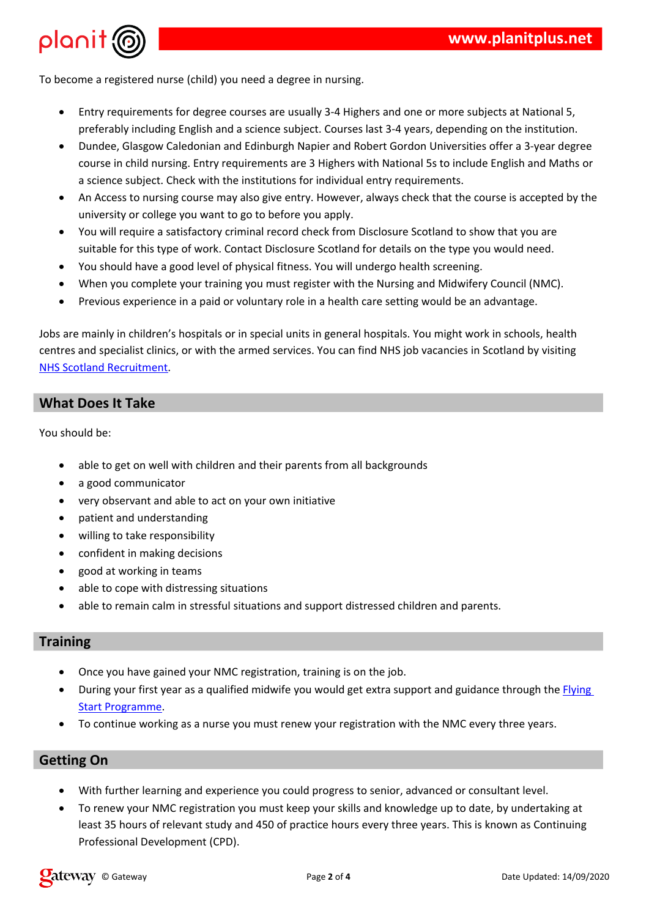$\overline{2}$  $8 + 4$   $\sqrt[6]{\frac{1}{2}}$ 

 $\mathbf{I}$ 





| $\gamma$       |    |              | $\mathbf{3}$   | / < 9/6        | $\#$         |              | $\mathbf{I}$ | .8\$ |         |              |     |      |              |
|----------------|----|--------------|----------------|----------------|--------------|--------------|--------------|------|---------|--------------|-----|------|--------------|
|                |    | $# #$ \$     |                |                |              |              |              |      |         |              |     |      |              |
| $\overline{2}$ |    | $\mathbf{u}$ |                | $\#$           |              |              |              |      | / < 9/6 |              |     |      | \$           |
|                |    |              |                |                |              |              |              |      |         |              |     |      |              |
|                |    |              |                |                |              |              |              |      |         |              |     |      |              |
| $=$            |    |              |                | $\mathbf{L}$   |              |              |              |      |         |              |     |      | \$           |
| $\overline{2}$ |    | / < 9/6      |                | $\#$           | $\mathbf{H}$ | $\mathbf{H}$ | $\mathbf H$  |      |         |              | (8) |      | $\mathbf{u}$ |
|                | 85 |              |                | $\overline{5}$ |              |              |              |      | \$      | $\mathbf{H}$ |     | $\%$ |              |
|                |    |              | $\frac{40}{5}$ | $1$ \$         |              |              |              |      |         |              |     |      |              |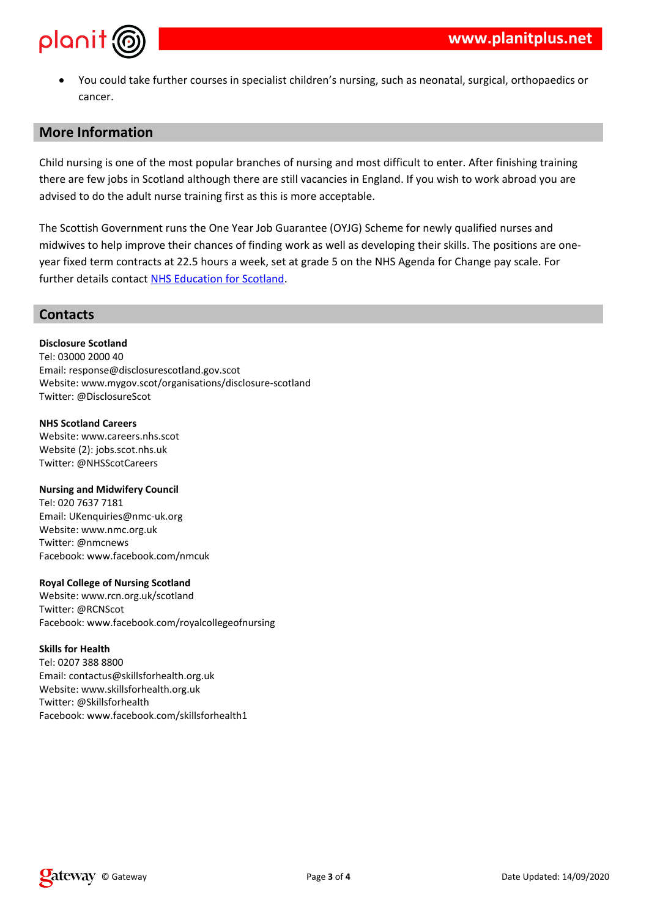$\bar{\mathbf{u}}$  $+$  (  $($  (  $\overline{\phantom{a}}$  $\sqrt[6]{\frac{1}{2}}$  $\mathbf{H}^{\mathrm{max}}$  $\mathbf{I}$  $#$  $\%$  $#8$  $#$  $\frac{1}{2}$  \*  $A''$  $8 \qquad 1$  $\lambda$  $\overline{\phantom{a}}$  $#$ 

 $? \times 1$  ! #  $\overline{2}$  $\mathbf 1$  $\mathbf{3}$  $\begin{array}{c}\n\blacksquare \\
\blacksquare \\
\blacksquare\n\end{array}$  $\frac{1}{2}$   $\frac{1}{2}$   $\frac{1}{2}$   $\frac{1}{2}$   $\frac{1}{2}$   $\frac{1}{2}$   $\frac{1}{2}$   $\frac{1}{2}$   $\frac{1}{2}$   $\frac{1}{2}$   $\frac{1}{2}$   $\frac{1}{2}$   $\frac{1}{2}$   $\frac{1}{2}$   $\frac{1}{2}$   $\frac{1}{2}$   $\frac{1}{2}$   $\frac{1}{2}$   $\frac{1}{2}$   $\frac{1}{2}$   $\frac{1}{2}$   $\frac{1}{2}$  " $\sqrt{2}$  $\#$  $\left( \frac{1}{2} \right)$  $\overline{\phantom{a}}$  $\ddot{\phantom{1}}$  $#$  \$5  $\%$  $\overline{1}$  $5 / 01$  \* **®**  $/ 0 1:$  $1 \quad$  \$

 $\ddot{\phantom{1}}$ 

### $\boldsymbol{\mathsf{S}}$

 $$ %$  $8\degree$  $\frac{2}{2}$  $\overline{B}$  $$3$  $$ # ) $$  $= 8$  $^{\prime}$  1  $\overline{2}$  $8\%$  % \$<br>
= 8<br>
= 8<br>
2<br>
B/011 %  $\begin{array}{ccccccccc} 2 && B & \# & & & \\ \textcircled{a} && \textup{\&} & & \textup{\&} & & \textup{\&} & \end{array}$ "\$##"  $= 8$   $\begin{array}{ccc} 1 & 96 \\ 2 & 5 \\ 2 & 8 \\ 6 & 10 \\ 2 & 8 \\ 10 & 10 \\ 10 & 10 \\ 10 & 10 \\ 10 & 10 \\ 10 & 10 \\ 10 & 10 \\ 10 & 10 \\ 10 & 10 \\ 10 & 10 \\ 10 & 10 \\ 10 & 10 \\ 10 & 10 \\ 10 & 10 \\ 10 & 10 \\ 10 & 10 & 10 \\ 10 & 10 & 10 \\ 10 & 10 & 10 \\ 10 & 10 & 10 \\ 10 & 10 & 10 \\ 10$  $\mathbf{r}^{\left(1\right)}$  . % &"<br>2 9 8 C C C C C C H B "  $"S$  #  $"$